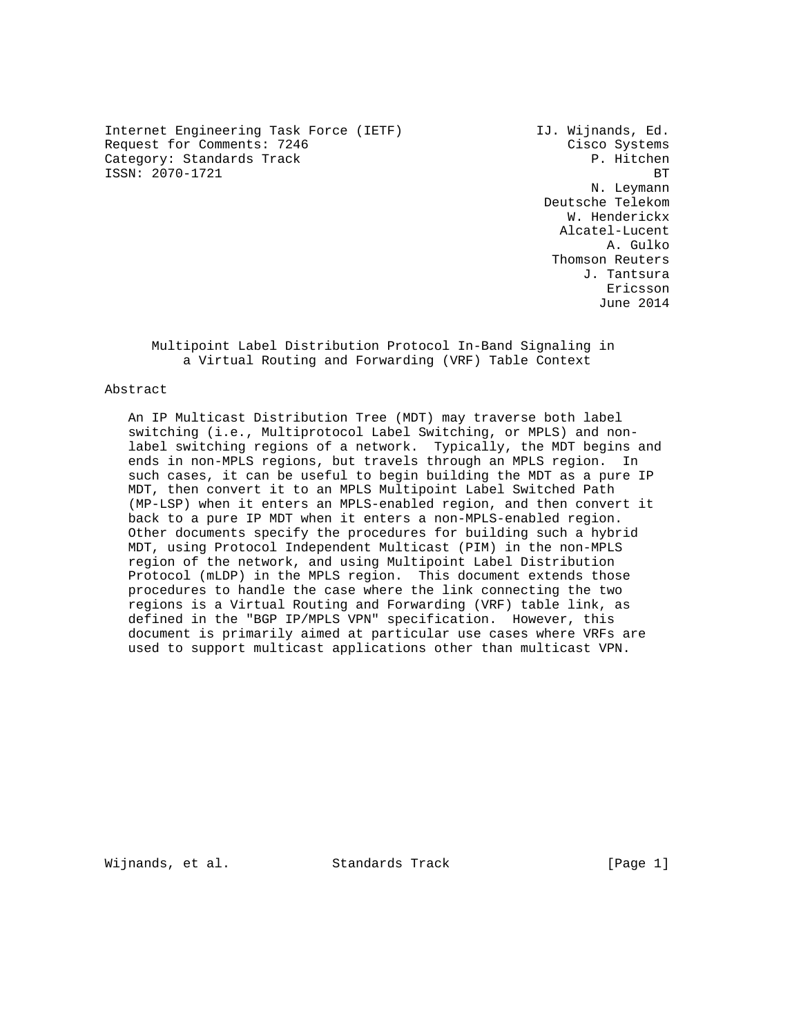Internet Engineering Task Force (IETF) IJ. Wijnands, Ed. Request for Comments: 7246 Cisco Systems Category: Standards Track P. Hitchen ISSN: 2070-1721 BT

 N. Leymann Deutsche Telekom W. Henderickx Alcatel-Lucent A. Gulko Thomson Reuters J. Tantsura eric and the contract of the contract of the contract of the contract of the contract of the contract of the contract of the contract of the contract of the contract of the contract of the contract of the contract of the c June 2014

 Multipoint Label Distribution Protocol In-Band Signaling in a Virtual Routing and Forwarding (VRF) Table Context

### Abstract

 An IP Multicast Distribution Tree (MDT) may traverse both label switching (i.e., Multiprotocol Label Switching, or MPLS) and non label switching regions of a network. Typically, the MDT begins and ends in non-MPLS regions, but travels through an MPLS region. In such cases, it can be useful to begin building the MDT as a pure IP MDT, then convert it to an MPLS Multipoint Label Switched Path (MP-LSP) when it enters an MPLS-enabled region, and then convert it back to a pure IP MDT when it enters a non-MPLS-enabled region. Other documents specify the procedures for building such a hybrid MDT, using Protocol Independent Multicast (PIM) in the non-MPLS region of the network, and using Multipoint Label Distribution Protocol (mLDP) in the MPLS region. This document extends those procedures to handle the case where the link connecting the two regions is a Virtual Routing and Forwarding (VRF) table link, as defined in the "BGP IP/MPLS VPN" specification. However, this document is primarily aimed at particular use cases where VRFs are used to support multicast applications other than multicast VPN.

Wijnands, et al. Standards Track [Page 1]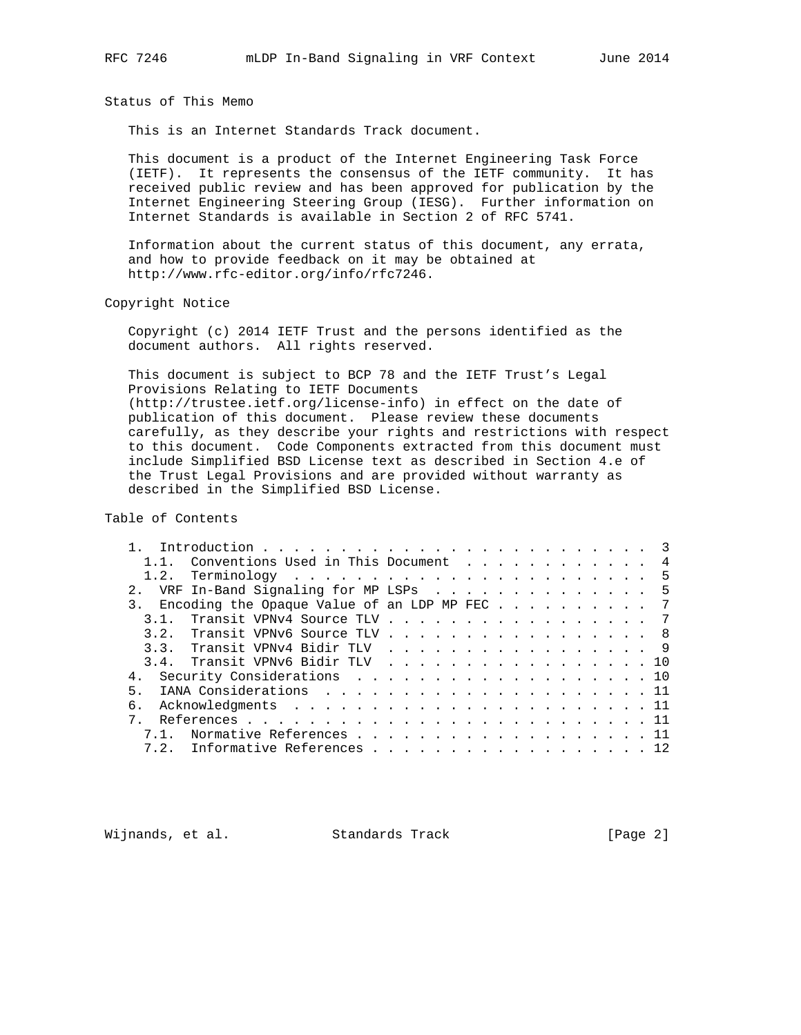Status of This Memo

This is an Internet Standards Track document.

 This document is a product of the Internet Engineering Task Force (IETF). It represents the consensus of the IETF community. It has received public review and has been approved for publication by the Internet Engineering Steering Group (IESG). Further information on Internet Standards is available in Section 2 of RFC 5741.

 Information about the current status of this document, any errata, and how to provide feedback on it may be obtained at http://www.rfc-editor.org/info/rfc7246.

Copyright Notice

 Copyright (c) 2014 IETF Trust and the persons identified as the document authors. All rights reserved.

 This document is subject to BCP 78 and the IETF Trust's Legal Provisions Relating to IETF Documents (http://trustee.ietf.org/license-info) in effect on the date of publication of this document. Please review these documents carefully, as they describe your rights and restrictions with respect to this document. Code Components extracted from this document must include Simplified BSD License text as described in Section 4.e of the Trust Legal Provisions and are provided without warranty as described in the Simplified BSD License.

Table of Contents

|    |      | 1.1. Conventions Used in This Document 4     |  |  |  |  |  |  |  |  |
|----|------|----------------------------------------------|--|--|--|--|--|--|--|--|
|    |      |                                              |  |  |  |  |  |  |  |  |
|    |      | 2. VRF In-Band Signaling for MP LSPs 5       |  |  |  |  |  |  |  |  |
|    |      | Encoding the Opaque Value of an LDP MP FEC 7 |  |  |  |  |  |  |  |  |
|    |      | 3.1. Transit VPNv4 Source TLV 7              |  |  |  |  |  |  |  |  |
|    |      | 3.2. Transit VPNv6 Source TLV 8              |  |  |  |  |  |  |  |  |
|    |      | 3.3. Transit VPNv4 Bidir TLV 9               |  |  |  |  |  |  |  |  |
|    |      | 3.4. Transit VPNv6 Bidir TLV 10              |  |  |  |  |  |  |  |  |
|    |      | 4. Security Considerations 10                |  |  |  |  |  |  |  |  |
| 5. |      |                                              |  |  |  |  |  |  |  |  |
| б. |      |                                              |  |  |  |  |  |  |  |  |
|    |      |                                              |  |  |  |  |  |  |  |  |
|    | 7.1. | Normative References 11                      |  |  |  |  |  |  |  |  |
|    | 7.2. | Informative References 12                    |  |  |  |  |  |  |  |  |

Wijnands, et al. Standards Track [Page 2]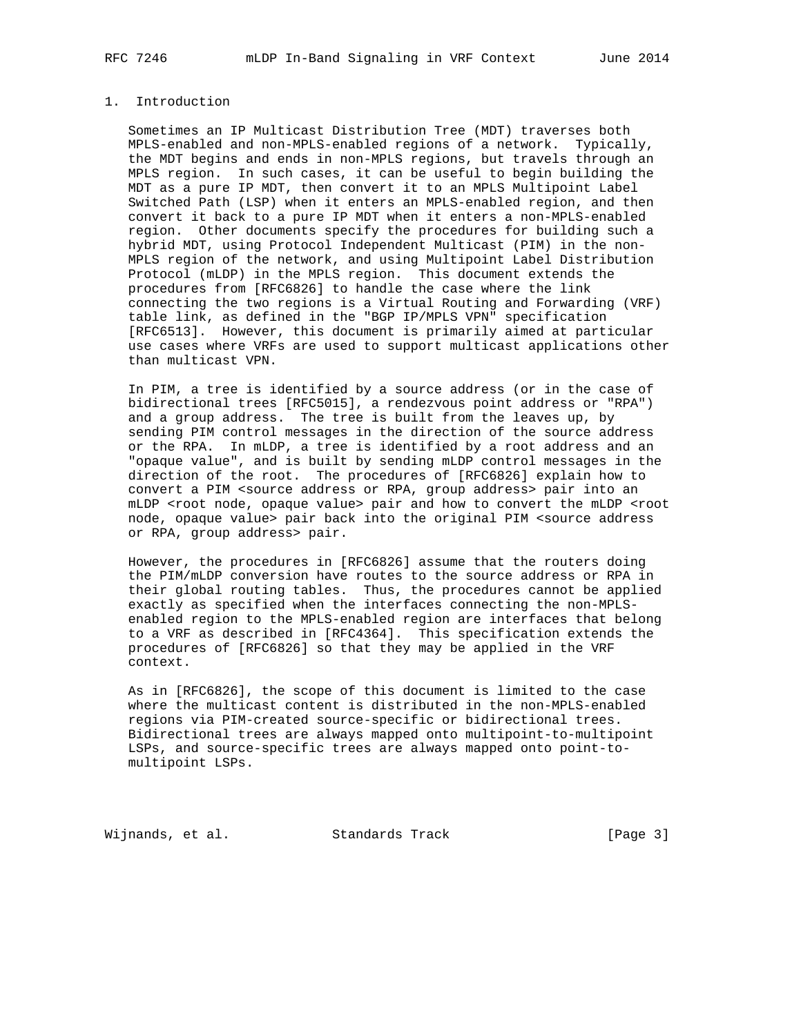## 1. Introduction

 Sometimes an IP Multicast Distribution Tree (MDT) traverses both MPLS-enabled and non-MPLS-enabled regions of a network. Typically, the MDT begins and ends in non-MPLS regions, but travels through an MPLS region. In such cases, it can be useful to begin building the MDT as a pure IP MDT, then convert it to an MPLS Multipoint Label Switched Path (LSP) when it enters an MPLS-enabled region, and then convert it back to a pure IP MDT when it enters a non-MPLS-enabled region. Other documents specify the procedures for building such a hybrid MDT, using Protocol Independent Multicast (PIM) in the non- MPLS region of the network, and using Multipoint Label Distribution Protocol (mLDP) in the MPLS region. This document extends the procedures from [RFC6826] to handle the case where the link connecting the two regions is a Virtual Routing and Forwarding (VRF) table link, as defined in the "BGP IP/MPLS VPN" specification [RFC6513]. However, this document is primarily aimed at particular use cases where VRFs are used to support multicast applications other than multicast VPN.

 In PIM, a tree is identified by a source address (or in the case of bidirectional trees [RFC5015], a rendezvous point address or "RPA") and a group address. The tree is built from the leaves up, by sending PIM control messages in the direction of the source address or the RPA. In mLDP, a tree is identified by a root address and an "opaque value", and is built by sending mLDP control messages in the direction of the root. The procedures of [RFC6826] explain how to convert a PIM <source address or RPA, group address> pair into an mLDP <root node, opaque value> pair and how to convert the mLDP <root node, opaque value> pair back into the original PIM <source address or RPA, group address> pair.

 However, the procedures in [RFC6826] assume that the routers doing the PIM/mLDP conversion have routes to the source address or RPA in their global routing tables. Thus, the procedures cannot be applied exactly as specified when the interfaces connecting the non-MPLS enabled region to the MPLS-enabled region are interfaces that belong to a VRF as described in [RFC4364]. This specification extends the procedures of [RFC6826] so that they may be applied in the VRF context.

 As in [RFC6826], the scope of this document is limited to the case where the multicast content is distributed in the non-MPLS-enabled regions via PIM-created source-specific or bidirectional trees. Bidirectional trees are always mapped onto multipoint-to-multipoint LSPs, and source-specific trees are always mapped onto point-to multipoint LSPs.

Wijnands, et al. Standards Track [Page 3]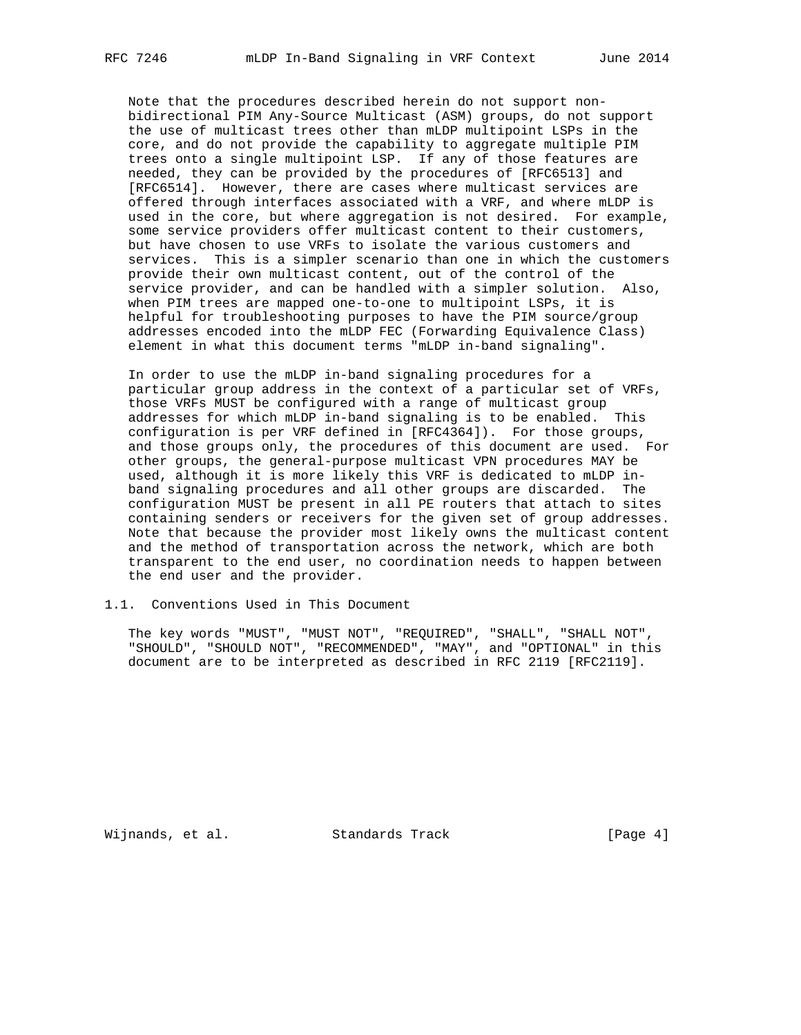Note that the procedures described herein do not support non bidirectional PIM Any-Source Multicast (ASM) groups, do not support the use of multicast trees other than mLDP multipoint LSPs in the core, and do not provide the capability to aggregate multiple PIM trees onto a single multipoint LSP. If any of those features are needed, they can be provided by the procedures of [RFC6513] and [RFC6514]. However, there are cases where multicast services are offered through interfaces associated with a VRF, and where mLDP is used in the core, but where aggregation is not desired. For example, some service providers offer multicast content to their customers, but have chosen to use VRFs to isolate the various customers and services. This is a simpler scenario than one in which the customers provide their own multicast content, out of the control of the service provider, and can be handled with a simpler solution. Also, when PIM trees are mapped one-to-one to multipoint LSPs, it is helpful for troubleshooting purposes to have the PIM source/group addresses encoded into the mLDP FEC (Forwarding Equivalence Class) element in what this document terms "mLDP in-band signaling".

 In order to use the mLDP in-band signaling procedures for a particular group address in the context of a particular set of VRFs, those VRFs MUST be configured with a range of multicast group addresses for which mLDP in-band signaling is to be enabled. This configuration is per VRF defined in [RFC4364]). For those groups, and those groups only, the procedures of this document are used. For other groups, the general-purpose multicast VPN procedures MAY be used, although it is more likely this VRF is dedicated to mLDP in band signaling procedures and all other groups are discarded. The configuration MUST be present in all PE routers that attach to sites containing senders or receivers for the given set of group addresses. Note that because the provider most likely owns the multicast content and the method of transportation across the network, which are both transparent to the end user, no coordination needs to happen between the end user and the provider.

### 1.1. Conventions Used in This Document

 The key words "MUST", "MUST NOT", "REQUIRED", "SHALL", "SHALL NOT", "SHOULD", "SHOULD NOT", "RECOMMENDED", "MAY", and "OPTIONAL" in this document are to be interpreted as described in RFC 2119 [RFC2119].

Wijnands, et al. Standards Track [Page 4]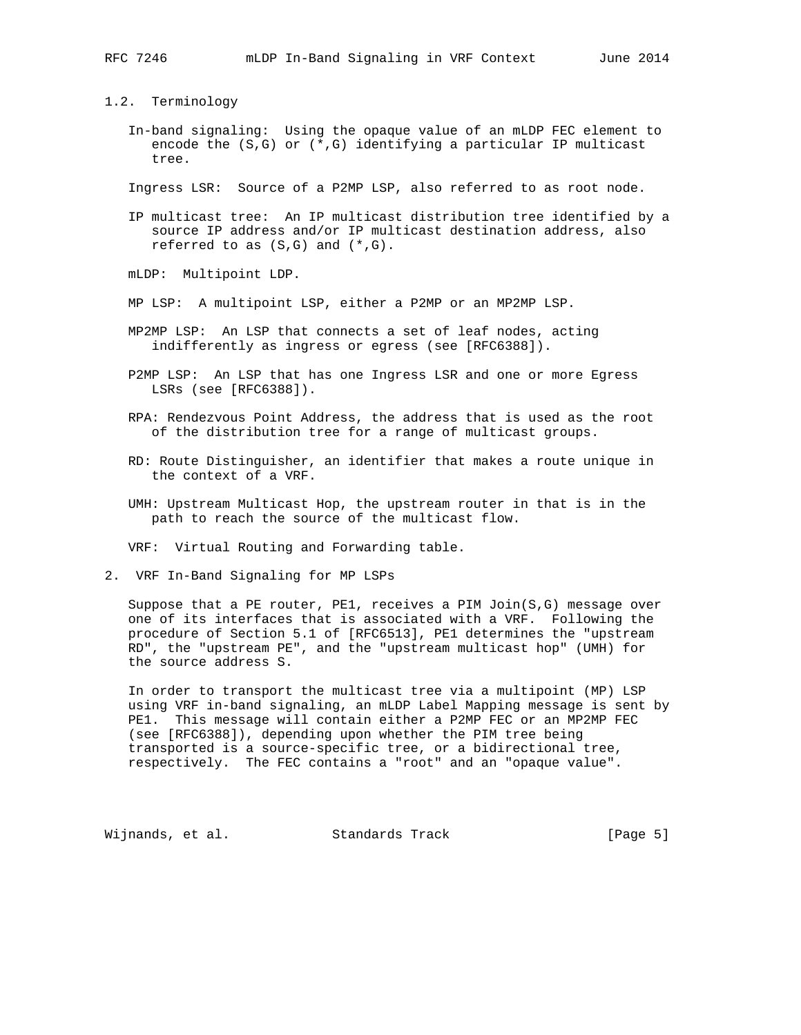### 1.2. Terminology

 In-band signaling: Using the opaque value of an mLDP FEC element to encode the  $(S,G)$  or  $(*,G)$  identifying a particular IP multicast tree.

Ingress LSR: Source of a P2MP LSP, also referred to as root node.

 IP multicast tree: An IP multicast distribution tree identified by a source IP address and/or IP multicast destination address, also referred to as  $(S,G)$  and  $(*,G)$ .

mLDP: Multipoint LDP.

- MP LSP: A multipoint LSP, either a P2MP or an MP2MP LSP.
- MP2MP LSP: An LSP that connects a set of leaf nodes, acting indifferently as ingress or egress (see [RFC6388]).
- P2MP LSP: An LSP that has one Ingress LSR and one or more Egress LSRs (see [RFC6388]).
- RPA: Rendezvous Point Address, the address that is used as the root of the distribution tree for a range of multicast groups.
- RD: Route Distinguisher, an identifier that makes a route unique in the context of a VRF.
- UMH: Upstream Multicast Hop, the upstream router in that is in the path to reach the source of the multicast flow.

VRF: Virtual Routing and Forwarding table.

2. VRF In-Band Signaling for MP LSPs

 Suppose that a PE router, PE1, receives a PIM Join(S,G) message over one of its interfaces that is associated with a VRF. Following the procedure of Section 5.1 of [RFC6513], PE1 determines the "upstream RD", the "upstream PE", and the "upstream multicast hop" (UMH) for the source address S.

 In order to transport the multicast tree via a multipoint (MP) LSP using VRF in-band signaling, an mLDP Label Mapping message is sent by PE1. This message will contain either a P2MP FEC or an MP2MP FEC (see [RFC6388]), depending upon whether the PIM tree being transported is a source-specific tree, or a bidirectional tree, respectively. The FEC contains a "root" and an "opaque value".

Wijnands, et al. Standards Track [Page 5]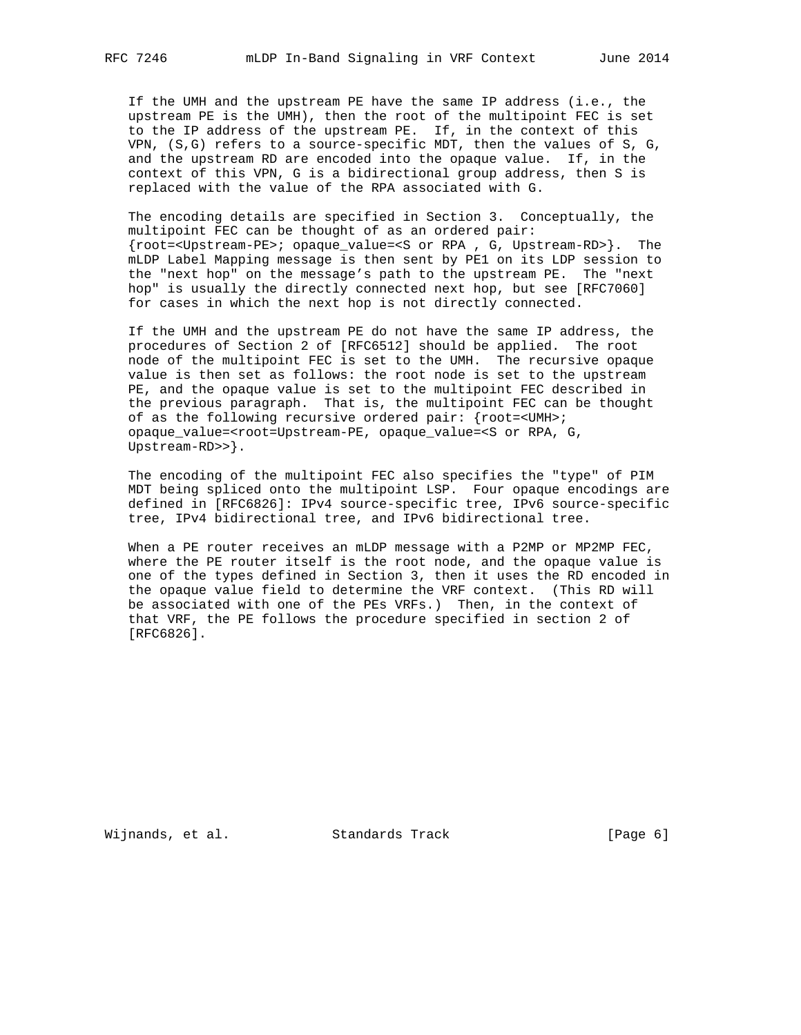If the UMH and the upstream PE have the same IP address (i.e., the upstream PE is the UMH), then the root of the multipoint FEC is set to the IP address of the upstream PE. If, in the context of this VPN, (S,G) refers to a source-specific MDT, then the values of S, G, and the upstream RD are encoded into the opaque value. If, in the context of this VPN, G is a bidirectional group address, then S is replaced with the value of the RPA associated with G.

 The encoding details are specified in Section 3. Conceptually, the multipoint FEC can be thought of as an ordered pair: {root=<Upstream-PE>; opaque\_value=<S or RPA , G, Upstream-RD>}. The mLDP Label Mapping message is then sent by PE1 on its LDP session to the "next hop" on the message's path to the upstream PE. The "next hop" is usually the directly connected next hop, but see [RFC7060] for cases in which the next hop is not directly connected.

 If the UMH and the upstream PE do not have the same IP address, the procedures of Section 2 of [RFC6512] should be applied. The root node of the multipoint FEC is set to the UMH. The recursive opaque value is then set as follows: the root node is set to the upstream PE, and the opaque value is set to the multipoint FEC described in the previous paragraph. That is, the multipoint FEC can be thought of as the following recursive ordered pair: {root=<UMH>; opaque\_value=<root=Upstream-PE, opaque\_value=<S or RPA, G, Upstream-RD>>}.

 The encoding of the multipoint FEC also specifies the "type" of PIM MDT being spliced onto the multipoint LSP. Four opaque encodings are defined in [RFC6826]: IPv4 source-specific tree, IPv6 source-specific tree, IPv4 bidirectional tree, and IPv6 bidirectional tree.

When a PE router receives an mLDP message with a P2MP or MP2MP FEC, where the PE router itself is the root node, and the opaque value is one of the types defined in Section 3, then it uses the RD encoded in the opaque value field to determine the VRF context. (This RD will be associated with one of the PEs VRFs.) Then, in the context of that VRF, the PE follows the procedure specified in section 2 of [RFC6826].

Wijnands, et al. Standards Track [Page 6]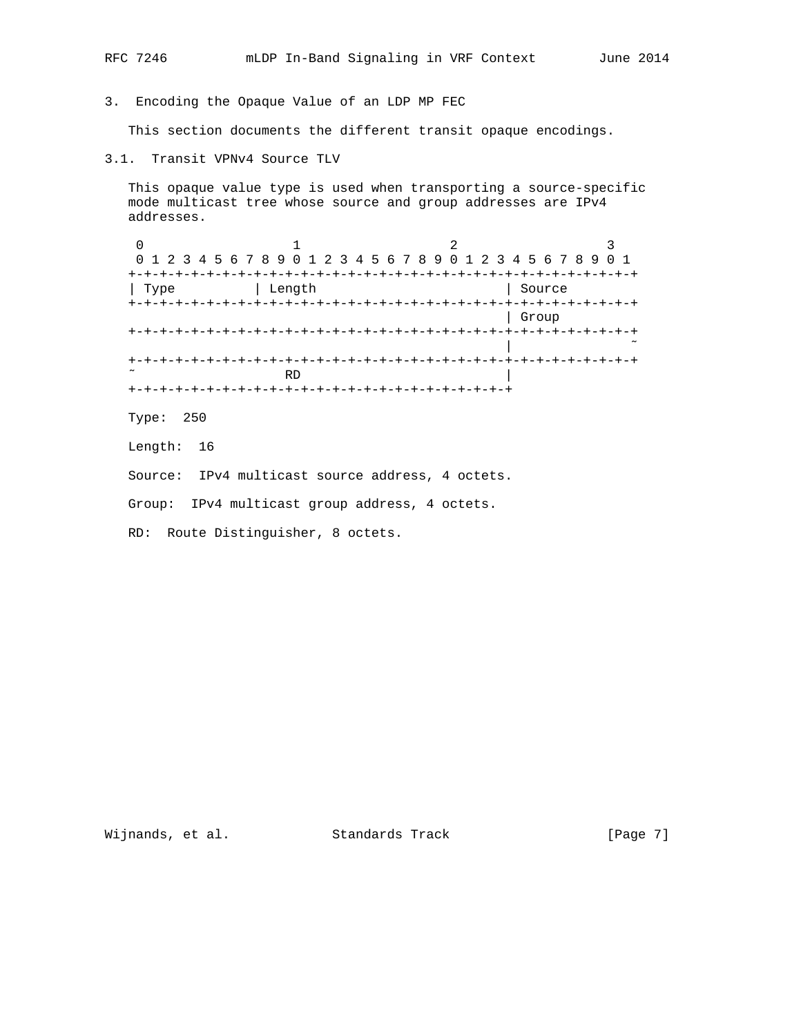- 
- 3. Encoding the Opaque Value of an LDP MP FEC

This section documents the different transit opaque encodings.

3.1. Transit VPNv4 Source TLV

 This opaque value type is used when transporting a source-specific mode multicast tree whose source and group addresses are IPv4 addresses.

|      | 0 1 2 3 4 5 6 7 8 9 0 1 2 3 4 5 6 7 8 9 0 1 2 3 4 5 6 7 8 9 0 1 |                |
|------|-----------------------------------------------------------------|----------------|
|      |                                                                 |                |
| Type | Length                                                          | Source         |
|      | -+-+-+-+-+-+-+-+-+-+-+-+-+-                                     | +-+-+-+-+-+-+- |
|      |                                                                 | Group          |
|      |                                                                 |                |
|      |                                                                 |                |
|      |                                                                 |                |
|      | RD                                                              |                |
|      |                                                                 |                |

Type: 250

Length: 16

Source: IPv4 multicast source address, 4 octets.

Group: IPv4 multicast group address, 4 octets.

RD: Route Distinguisher, 8 octets.

Wijnands, et al. Standards Track [Page 7]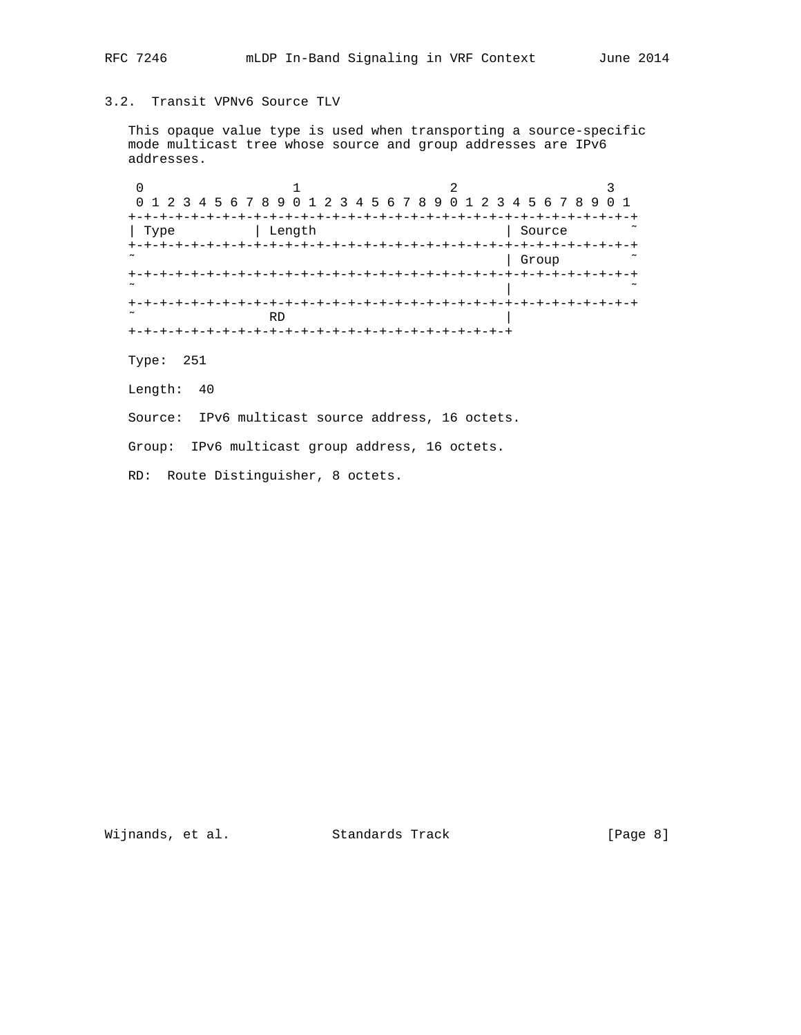# 3.2. Transit VPNv6 Source TLV

 This opaque value type is used when transporting a source-specific mode multicast tree whose source and group addresses are IPv6 addresses.

|                       | 0 1 2 3 4 5 6 7 8 9 0 1 2 3 4 5 6 7 8 9 0 1 2 3 4 5 6 7 8 9 0 1 |        |
|-----------------------|-----------------------------------------------------------------|--------|
|                       |                                                                 |        |
| Type                  | Length                                                          | Source |
|                       | -+-+-+-+-+-+-+-+-+-+-+-+-+                                      |        |
|                       |                                                                 | Group  |
|                       |                                                                 |        |
| ~                     |                                                                 |        |
|                       |                                                                 |        |
| $\tilde{\phantom{a}}$ | <b>RD</b>                                                       |        |

Type: 251

Length: 40

Source: IPv6 multicast source address, 16 octets.

Group: IPv6 multicast group address, 16 octets.

RD: Route Distinguisher, 8 octets.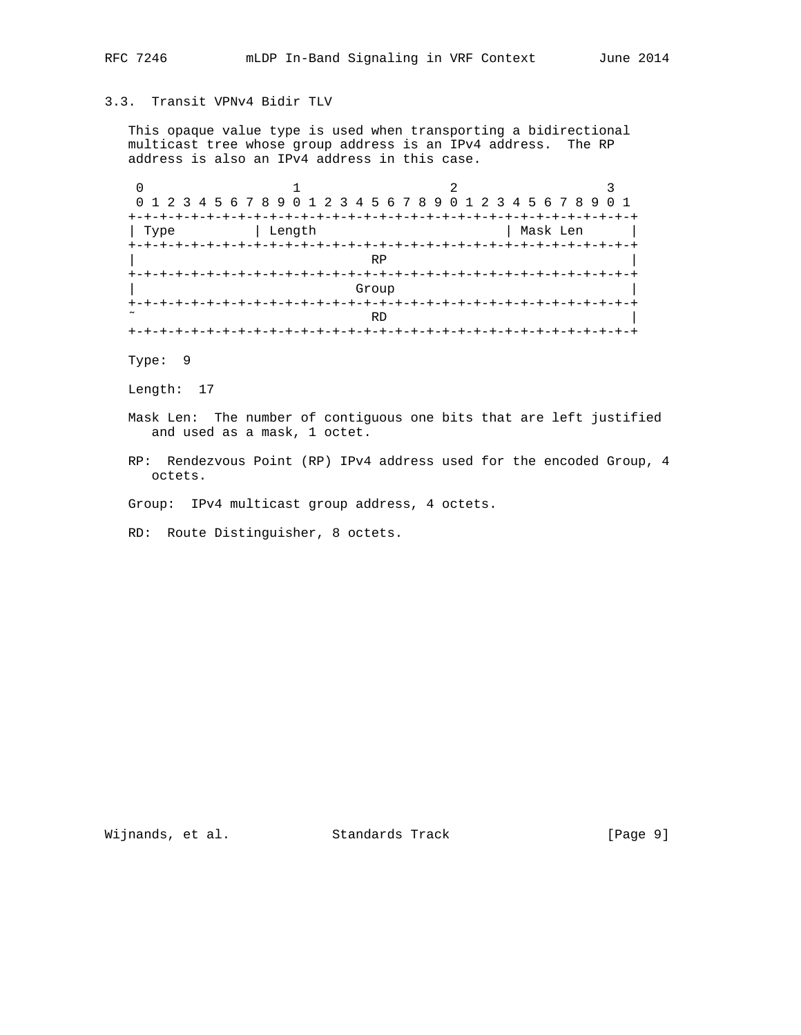# 3.3. Transit VPNv4 Bidir TLV

 This opaque value type is used when transporting a bidirectional multicast tree whose group address is an IPv4 address. The RP address is also an IPv4 address in this case.

|                   | 0 1 2 3 4 5 6 7 8 9 0 1 2 3 4 5 6 7 8 9 0 1 2 3 4 5 6 7 8 9 0 1 |     |          |
|-------------------|-----------------------------------------------------------------|-----|----------|
| $+ - + - +$       |                                                                 |     |          |
| Туре              | Length                                                          |     | Mask Len |
| $+$               |                                                                 |     |          |
|                   |                                                                 | R P |          |
| +-+-+-+-+-+-+-+-+ |                                                                 |     |          |
|                   | Group                                                           |     |          |
|                   |                                                                 |     |          |
|                   |                                                                 | RD  |          |
|                   |                                                                 |     |          |

Type: 9

Length: 17

 Mask Len: The number of contiguous one bits that are left justified and used as a mask, 1 octet.

 RP: Rendezvous Point (RP) IPv4 address used for the encoded Group, 4 octets.

Group: IPv4 multicast group address, 4 octets.

RD: Route Distinguisher, 8 octets.

Wijnands, et al. Standards Track [Page 9]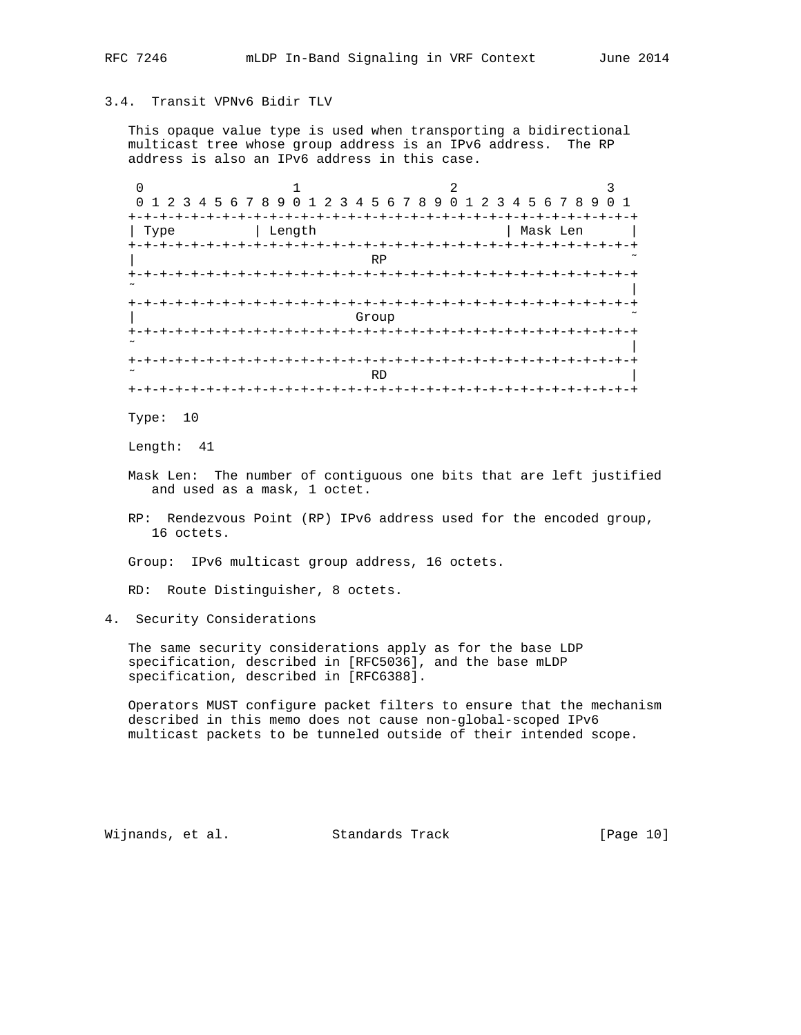## 3.4. Transit VPNv6 Bidir TLV

 This opaque value type is used when transporting a bidirectional multicast tree whose group address is an IPv6 address. The RP address is also an IPv6 address in this case.

|                     |                         |                                     | 3              |
|---------------------|-------------------------|-------------------------------------|----------------|
|                     | 0 1 2 3 4 5 6 7 8 9 0 1 | 2 3 4 5 6 7 8 9 0 1 2 3 4 5 6 7 8 9 | 0 <sub>1</sub> |
| $+ - + - +$<br>Type | Length                  |                                     | Mask Len       |
| $+ - + - + - +$     |                         |                                     |                |
|                     | <b>RP</b>               |                                     |                |
| $\div$              |                         | -+-+-+-+-+-+-+-+                    |                |
|                     |                         |                                     |                |
| $+$<br>+-+-+-+-+-+  |                         |                                     |                |
|                     | Group                   |                                     |                |
| $\ddot{}$           |                         |                                     |                |
|                     |                         |                                     |                |
| $^+$<br>-+-+-+-+-+  |                         |                                     |                |
|                     | <b>RD</b>               |                                     |                |

Type: 10

Length: 41

- Mask Len: The number of contiguous one bits that are left justified and used as a mask, 1 octet.
- RP: Rendezvous Point (RP) IPv6 address used for the encoded group, 16 octets.
- Group: IPv6 multicast group address, 16 octets.

RD: Route Distinguisher, 8 octets.

4. Security Considerations

 The same security considerations apply as for the base LDP specification, described in [RFC5036], and the base mLDP specification, described in [RFC6388].

 Operators MUST configure packet filters to ensure that the mechanism described in this memo does not cause non-global-scoped IPv6 multicast packets to be tunneled outside of their intended scope.

Wijnands, et al. Standards Track [Page 10]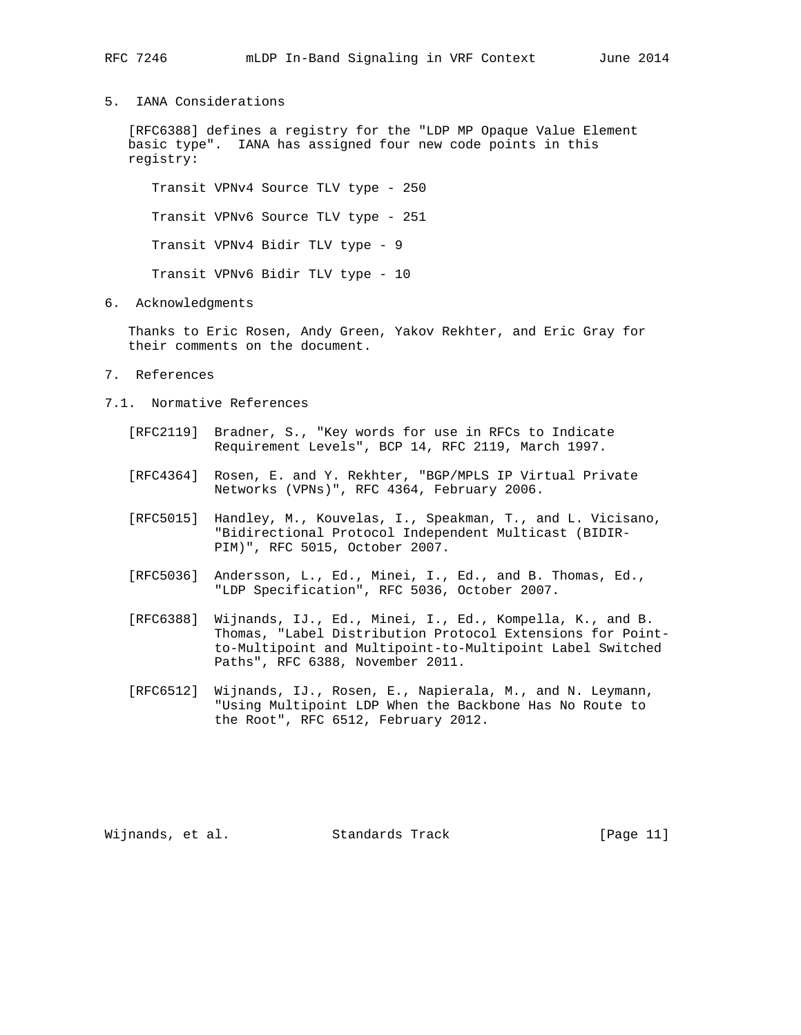5. IANA Considerations

 [RFC6388] defines a registry for the "LDP MP Opaque Value Element basic type". IANA has assigned four new code points in this registry:

 Transit VPNv4 Source TLV type - 250 Transit VPNv6 Source TLV type - 251 Transit VPNv4 Bidir TLV type - 9 Transit VPNv6 Bidir TLV type - 10

6. Acknowledgments

 Thanks to Eric Rosen, Andy Green, Yakov Rekhter, and Eric Gray for their comments on the document.

- 7. References
- 7.1. Normative References
	- [RFC2119] Bradner, S., "Key words for use in RFCs to Indicate Requirement Levels", BCP 14, RFC 2119, March 1997.
	- [RFC4364] Rosen, E. and Y. Rekhter, "BGP/MPLS IP Virtual Private Networks (VPNs)", RFC 4364, February 2006.
	- [RFC5015] Handley, M., Kouvelas, I., Speakman, T., and L. Vicisano, "Bidirectional Protocol Independent Multicast (BIDIR- PIM)", RFC 5015, October 2007.
	- [RFC5036] Andersson, L., Ed., Minei, I., Ed., and B. Thomas, Ed., "LDP Specification", RFC 5036, October 2007.
	- [RFC6388] Wijnands, IJ., Ed., Minei, I., Ed., Kompella, K., and B. Thomas, "Label Distribution Protocol Extensions for Point to-Multipoint and Multipoint-to-Multipoint Label Switched Paths", RFC 6388, November 2011.
	- [RFC6512] Wijnands, IJ., Rosen, E., Napierala, M., and N. Leymann, "Using Multipoint LDP When the Backbone Has No Route to the Root", RFC 6512, February 2012.

Wijnands, et al. Standards Track [Page 11]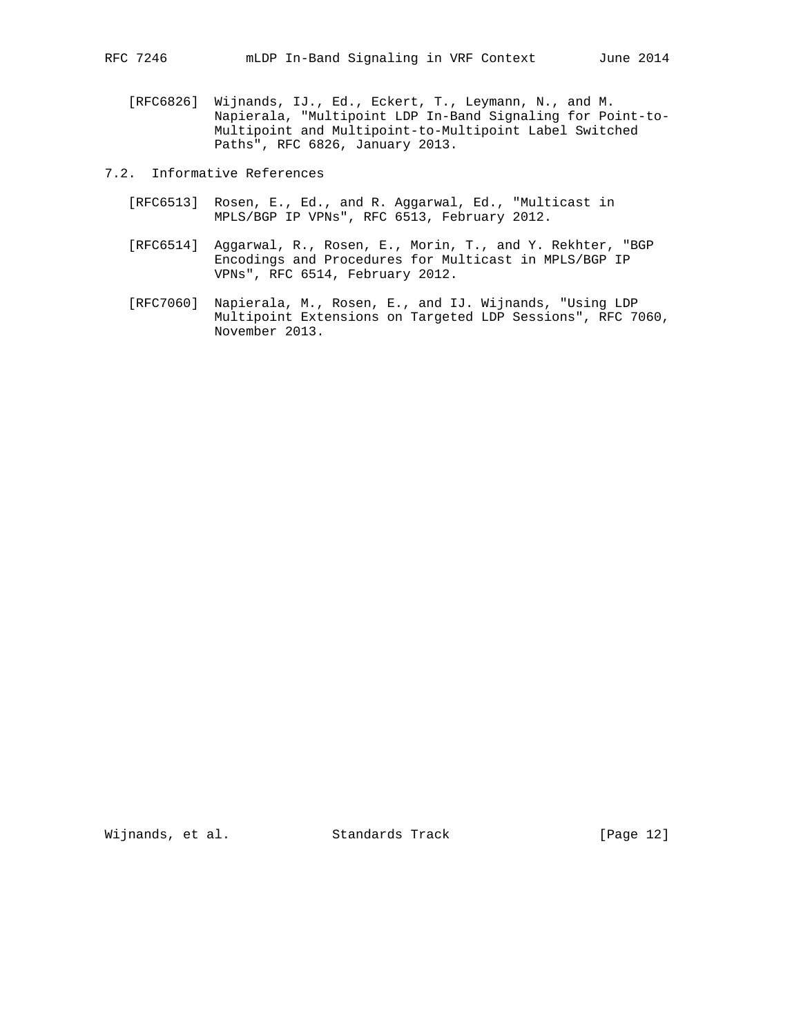- [RFC6826] Wijnands, IJ., Ed., Eckert, T., Leymann, N., and M. Napierala, "Multipoint LDP In-Band Signaling for Point-to- Multipoint and Multipoint-to-Multipoint Label Switched Paths", RFC 6826, January 2013.
- 7.2. Informative References
	- [RFC6513] Rosen, E., Ed., and R. Aggarwal, Ed., "Multicast in MPLS/BGP IP VPNs", RFC 6513, February 2012.
	- [RFC6514] Aggarwal, R., Rosen, E., Morin, T., and Y. Rekhter, "BGP Encodings and Procedures for Multicast in MPLS/BGP IP VPNs", RFC 6514, February 2012.
	- [RFC7060] Napierala, M., Rosen, E., and IJ. Wijnands, "Using LDP Multipoint Extensions on Targeted LDP Sessions", RFC 7060, November 2013.

Wijnands, et al. Standards Track [Page 12]